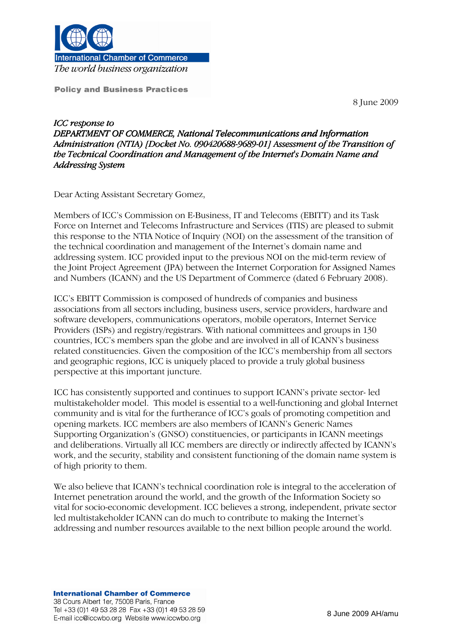

**International Chamber of Commerce** The world business organization

**Policy and Business Practices** 

8 June 2009

ICC response to DEPARTMENT OF COMMERCE, National Telecommunications and Information Administration (NTIA) [Docket No. 090420688-9689-01] Assessment of the Transition of the Technical Coordination and Management of the Internet's Domain Name and Addressing System

Dear Acting Assistant Secretary Gomez,

Members of ICC's Commission on E-Business, IT and Telecoms (EBITT) and its Task Force on Internet and Telecoms Infrastructure and Services (ITIS) are pleased to submit this response to the NTIA Notice of Inquiry (NOI) on the assessment of the transition of the technical coordination and management of the Internet's domain name and addressing system. ICC provided input to the previous NOI on the mid-term review of the Joint Project Agreement (JPA) between the Internet Corporation for Assigned Names and Numbers (ICANN) and the US Department of Commerce (dated 6 February 2008).

ICC's EBITT Commission is composed of hundreds of companies and business associations from all sectors including, business users, service providers, hardware and software developers, communications operators, mobile operators, Internet Service Providers (ISPs) and registry/registrars. With national committees and groups in 130 countries, ICC's members span the globe and are involved in all of ICANN's business related constituencies. Given the composition of the ICC's membership from all sectors and geographic regions, ICC is uniquely placed to provide a truly global business perspective at this important juncture.

ICC has consistently supported and continues to support ICANN's private sector- led multistakeholder model. This model is essential to a well-functioning and global Internet community and is vital for the furtherance of ICC's goals of promoting competition and opening markets. ICC members are also members of ICANN's Generic Names Supporting Organization's (GNSO) constituencies, or participants in ICANN meetings and deliberations. Virtually all ICC members are directly or indirectly affected by ICANN's work, and the security, stability and consistent functioning of the domain name system is of high priority to them.

We also believe that ICANN's technical coordination role is integral to the acceleration of Internet penetration around the world, and the growth of the Information Society so vital for socio-economic development. ICC believes a strong, independent, private sector led multistakeholder ICANN can do much to contribute to making the Internet's addressing and number resources available to the next billion people around the world.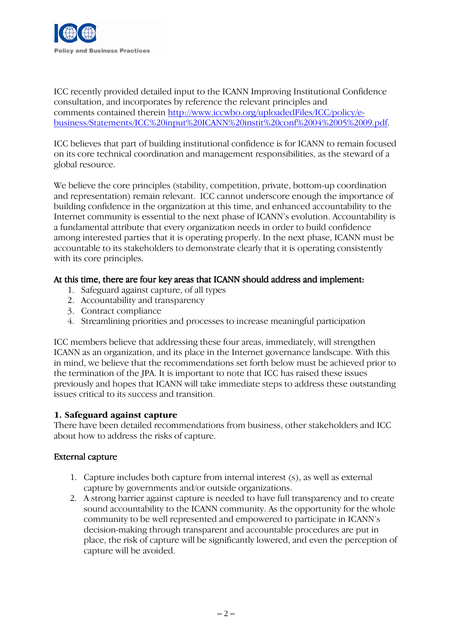

ICC recently provided detailed input to the ICANN Improving Institutional Confidence consultation, and incorporates by reference the relevant principles and comments contained therein http://www.iccwbo.org/uploadedFiles/ICC/policy/ebusiness/Statements/ICC%20input%20ICANN%20instit%20conf%2004%2005%2009.pdf.

ICC believes that part of building institutional confidence is for ICANN to remain focused on its core technical coordination and management responsibilities, as the steward of a global resource.

We believe the core principles (stability, competition, private, bottom-up coordination and representation) remain relevant. ICC cannot underscore enough the importance of building confidence in the organization at this time, and enhanced accountability to the Internet community is essential to the next phase of ICANN's evolution. Accountability is a fundamental attribute that every organization needs in order to build confidence among interested parties that it is operating properly. In the next phase, ICANN must be accountable to its stakeholders to demonstrate clearly that it is operating consistently with its core principles.

# At this time, there are four key areas that ICANN should address and implement:

- 1. Safeguard against capture, of all types
- 2. Accountability and transparency
- 3. Contract compliance
- 4. Streamlining priorities and processes to increase meaningful participation

ICC members believe that addressing these four areas, immediately, will strengthen ICANN as an organization, and its place in the Internet governance landscape. With this in mind, we believe that the recommendations set forth below must be achieved prior to the termination of the JPA. It is important to note that ICC has raised these issues previously and hopes that ICANN will take immediate steps to address these outstanding issues critical to its success and transition.

#### 1. Safeguard against capture

There have been detailed recommendations from business, other stakeholders and ICC about how to address the risks of capture.

#### External capture

- 1. Capture includes both capture from internal interest (s), as well as external capture by governments and/or outside organizations.
- 2. A strong barrier against capture is needed to have full transparency and to create sound accountability to the ICANN community. As the opportunity for the whole community to be well represented and empowered to participate in ICANN's decision-making through transparent and accountable procedures are put in place, the risk of capture will be significantly lowered, and even the perception of capture will be avoided.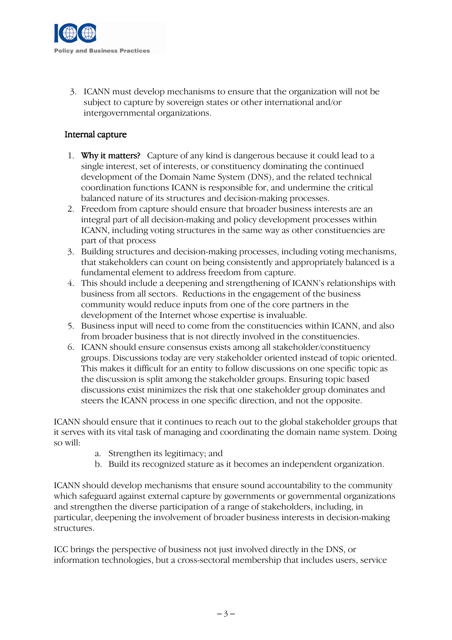

3. ICANN must develop mechanisms to ensure that the organization will not be subject to capture by sovereign states or other international and/or intergovernmental organizations.

# Internal capture

- 1. Why it matters? Capture of any kind is dangerous because it could lead to a single interest, set of interests, or constituency dominating the continued development of the Domain Name System (DNS), and the related technical coordination functions ICANN is responsible for, and undermine the critical balanced nature of its structures and decision-making processes.
- 2. Freedom from capture should ensure that broader business interests are an integral part of all decision-making and policy development processes within ICANN, including voting structures in the same way as other constituencies are part of that process
- 3. Building structures and decision-making processes, including voting mechanisms, that stakeholders can count on being consistently and appropriately balanced is a fundamental element to address freedom from capture.
- 4. This should include a deepening and strengthening of ICANN's relationships with business from all sectors. Reductions in the engagement of the business community would reduce inputs from one of the core partners in the development of the Internet whose expertise is invaluable.
- 5. Business input will need to come from the constituencies within ICANN, and also from broader business that is not directly involved in the constituencies.
- 6. ICANN should ensure consensus exists among all stakeholder/constituency groups. Discussions today are very stakeholder oriented instead of topic oriented. This makes it difficult for an entity to follow discussions on one specific topic as the discussion is split among the stakeholder groups. Ensuring topic based discussions exist minimizes the risk that one stakeholder group dominates and steers the ICANN process in one specific direction, and not the opposite.

ICANN should ensure that it continues to reach out to the global stakeholder groups that it serves with its vital task of managing and coordinating the domain name system. Doing so will:

- a. Strengthen its legitimacy; and
- b. Build its recognized stature as it becomes an independent organization.

ICANN should develop mechanisms that ensure sound accountability to the community which safeguard against external capture by governments or governmental organizations and strengthen the diverse participation of a range of stakeholders, including, in particular, deepening the involvement of broader business interests in decision-making structures.

ICC brings the perspective of business not just involved directly in the DNS, or information technologies, but a cross-sectoral membership that includes users, service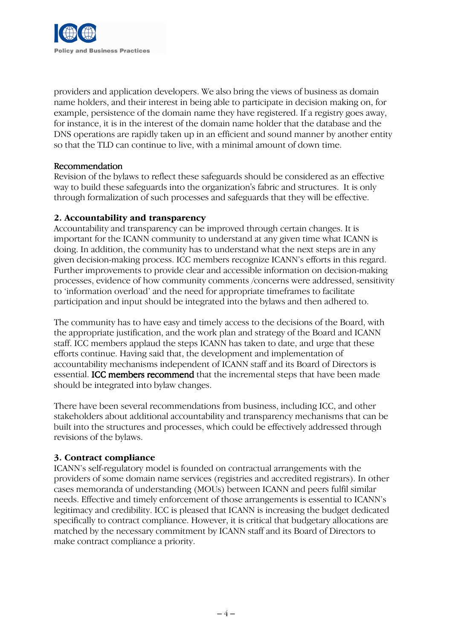

providers and application developers. We also bring the views of business as domain name holders, and their interest in being able to participate in decision making on, for example, persistence of the domain name they have registered. If a registry goes away, for instance, it is in the interest of the domain name holder that the database and the DNS operations are rapidly taken up in an efficient and sound manner by another entity so that the TLD can continue to live, with a minimal amount of down time.

#### Recommendation

Revision of the bylaws to reflect these safeguards should be considered as an effective way to build these safeguards into the organization's fabric and structures. It is only through formalization of such processes and safeguards that they will be effective.

# 2. Accountability and transparency

Accountability and transparency can be improved through certain changes. It is important for the ICANN community to understand at any given time what ICANN is doing. In addition, the community has to understand what the next steps are in any given decision-making process. ICC members recognize ICANN's efforts in this regard. Further improvements to provide clear and accessible information on decision-making processes, evidence of how community comments /concerns were addressed, sensitivity to 'information overload' and the need for appropriate timeframes to facilitate participation and input should be integrated into the bylaws and then adhered to.

The community has to have easy and timely access to the decisions of the Board, with the appropriate justification, and the work plan and strategy of the Board and ICANN staff. ICC members applaud the steps ICANN has taken to date, and urge that these efforts continue. Having said that, the development and implementation of accountability mechanisms independent of ICANN staff and its Board of Directors is essential. **ICC members recommend** that the incremental steps that have been made should be integrated into bylaw changes.

There have been several recommendations from business, including ICC, and other stakeholders about additional accountability and transparency mechanisms that can be built into the structures and processes, which could be effectively addressed through revisions of the bylaws.

# 3. Contract compliance

ICANN's self-regulatory model is founded on contractual arrangements with the providers of some domain name services (registries and accredited registrars). In other cases memoranda of understanding (MOUs) between ICANN and peers fulfil similar needs. Effective and timely enforcement of those arrangements is essential to ICANN's legitimacy and credibility. ICC is pleased that ICANN is increasing the budget dedicated specifically to contract compliance. However, it is critical that budgetary allocations are matched by the necessary commitment by ICANN staff and its Board of Directors to make contract compliance a priority.